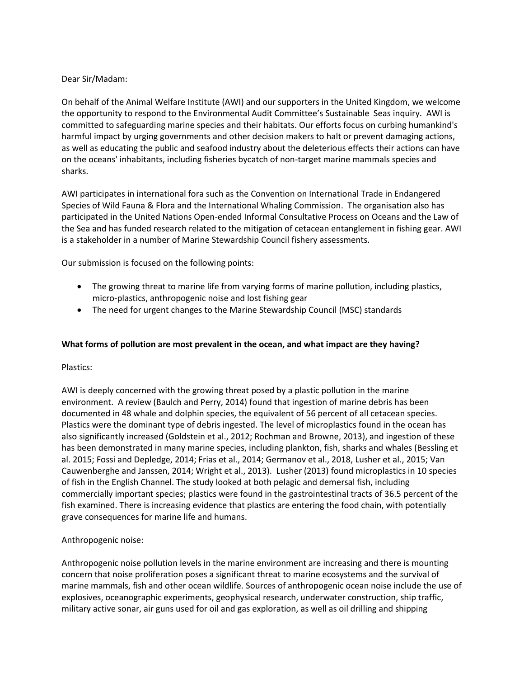### Dear Sir/Madam:

On behalf of the Animal Welfare Institute (AWI) and our supporters in the United Kingdom, we welcome the opportunity to respond to the Environmental Audit Committee's Sustainable Seas inquiry. AWI is committed to safeguarding marine species and their habitats. Our efforts focus on curbing humankind's harmful impact by urging governments and other decision makers to halt or prevent damaging actions, as well as educating the public and seafood industry about the deleterious effects their actions can have on the oceans' inhabitants, including fisheries bycatch of non-target marine mammals species and sharks.

AWI participates in international fora such as the Convention on International Trade in Endangered Species of Wild Fauna & Flora and the International Whaling Commission. The organisation also has participated in the United Nations Open-ended Informal Consultative Process on Oceans and the Law of the Sea and has funded research related to the mitigation of cetacean entanglement in fishing gear. AWI is a stakeholder in a number of Marine Stewardship Council fishery assessments.

Our submission is focused on the following points:

- The growing threat to marine life from varying forms of marine pollution, including plastics, micro-plastics, anthropogenic noise and lost fishing gear
- The need for urgent changes to the Marine Stewardship Council (MSC) standards

## **What forms of pollution are most prevalent in the ocean, and what impact are they having?**

### Plastics:

AWI is deeply concerned with the growing threat posed by a plastic pollution in the marine environment. A review (Baulch and Perry, 2014) found that ingestion of marine debris has been documented in 48 whale and dolphin species, the equivalent of 56 percent of all cetacean species. Plastics were the dominant type of debris ingested. The level of microplastics found in the ocean has also significantly increased (Goldstein et al., 2012; Rochman and Browne, 2013), and ingestion of these has been demonstrated in many marine species, including plankton, fish, sharks and whales (Bessling et al. 2015; Fossi and Depledge, 2014; Frias et al., 2014; Germanov et al., 2018, Lusher et al., 2015; Van Cauwenberghe and Janssen, 2014; Wright et al., 2013). Lusher (2013) found microplastics in 10 species of fish in the English Channel. The study looked at both pelagic and demersal fish, including commercially important species; plastics were found in the gastrointestinal tracts of 36.5 percent of the fish examined. There is increasing evidence that plastics are entering the food chain, with potentially grave consequences for marine life and humans.

### Anthropogenic noise:

Anthropogenic noise pollution levels in the marine environment are increasing and there is mounting concern that noise proliferation poses a significant threat to marine ecosystems and the survival of marine mammals, fish and other ocean wildlife. Sources of anthropogenic ocean noise include the use of explosives, oceanographic experiments, geophysical research, underwater construction, ship traffic, military active sonar, air guns used for oil and gas exploration, as well as oil drilling and shipping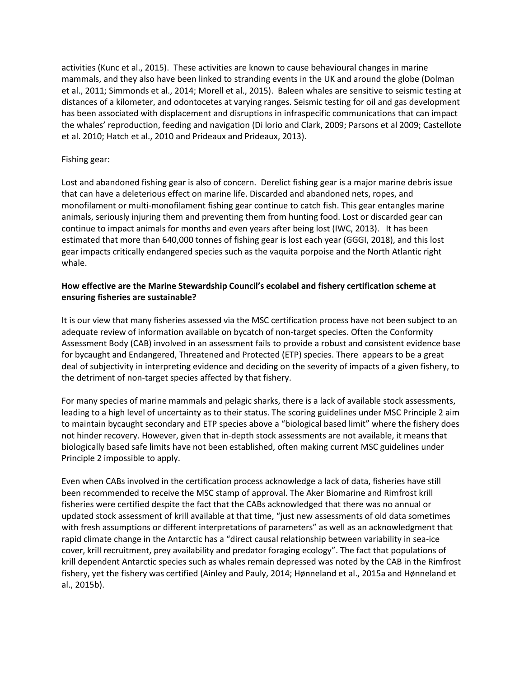activities (Kunc et al., 2015). These activities are known to cause behavioural changes in marine mammals, and they also have been linked to stranding events in the UK and around the globe (Dolman et al., 2011; Simmonds et al., 2014; Morell et al., 2015). Baleen whales are sensitive to seismic testing at distances of a kilometer, and odontocetes at varying ranges. Seismic testing for oil and gas development has been associated with displacement and disruptions in infraspecific communications that can impact the whales' reproduction, feeding and navigation (Di lorio and Clark, 2009; Parsons et al 2009; Castellote et al. 2010; Hatch et al., 2010 and Prideaux and Prideaux, 2013).

### Fishing gear:

Lost and abandoned fishing gear is also of concern. Derelict fishing gear is a major marine debris issue that can have a deleterious effect on marine life. Discarded and abandoned nets, ropes, and monofilament or multi-monofilament fishing gear continue to catch fish. This gear entangles marine animals, seriously injuring them and preventing them from hunting food. Lost or discarded gear can continue to impact animals for months and even years after being lost (IWC, 2013). It has been estimated that more than 640,000 tonnes of fishing gear is lost each year (GGGI, 2018), and this lost gear impacts critically endangered species such as the vaquita porpoise and the North Atlantic right whale.

# **How effective are the Marine Stewardship Council's ecolabel and fishery certification scheme at ensuring fisheries are sustainable?**

It is our view that many fisheries assessed via the MSC certification process have not been subject to an adequate review of information available on bycatch of non-target species. Often the Conformity Assessment Body (CAB) involved in an assessment fails to provide a robust and consistent evidence base for bycaught and Endangered, Threatened and Protected (ETP) species. There appears to be a great deal of subjectivity in interpreting evidence and deciding on the severity of impacts of a given fishery, to the detriment of non-target species affected by that fishery.

For many species of marine mammals and pelagic sharks, there is a lack of available stock assessments, leading to a high level of uncertainty as to their status. The scoring guidelines under MSC Principle 2 aim to maintain bycaught secondary and ETP species above a "biological based limit" where the fishery does not hinder recovery. However, given that in-depth stock assessments are not available, it means that biologically based safe limits have not been established, often making current MSC guidelines under Principle 2 impossible to apply.

Even when CABs involved in the certification process acknowledge a lack of data, fisheries have still been recommended to receive the MSC stamp of approval. The Aker Biomarine and Rimfrost krill fisheries were certified despite the fact that the CABs acknowledged that there was no annual or updated stock assessment of krill available at that time, "just new assessments of old data sometimes with fresh assumptions or different interpretations of parameters" as well as an acknowledgment that rapid climate change in the Antarctic has a "direct causal relationship between variability in sea-ice cover, krill recruitment, prey availability and predator foraging ecology". The fact that populations of krill dependent Antarctic species such as whales remain depressed was noted by the CAB in the Rimfrost fishery, yet the fishery was certified (Ainley and Pauly, 2014; Hønneland et al., 2015a and Hønneland et al., 2015b).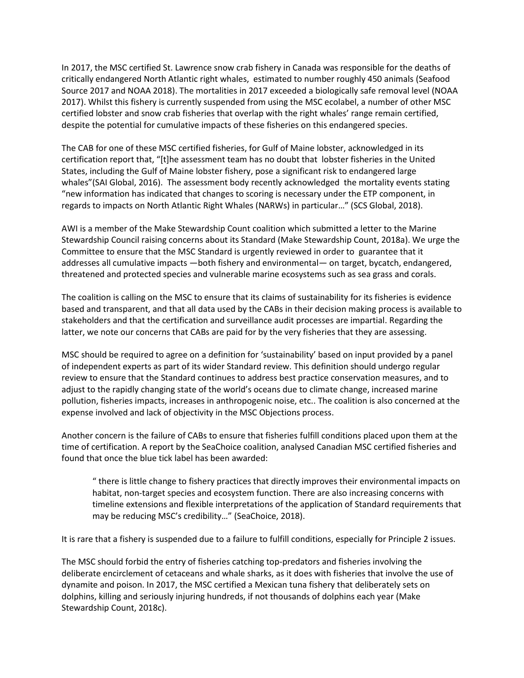In 2017, the MSC certified St. Lawrence snow crab fishery in Canada was responsible for the deaths of critically endangered North Atlantic right whales, estimated to number roughly 450 animals (Seafood Source 2017 and NOAA 2018). The mortalities in 2017 exceeded a biologically safe removal level (NOAA 2017). Whilst this fishery is currently suspended from using the MSC ecolabel, a number of other MSC certified lobster and snow crab fisheries that overlap with the right whales' range remain certified, despite the potential for cumulative impacts of these fisheries on this endangered species.

The CAB for one of these MSC certified fisheries, for Gulf of Maine lobster, acknowledged in its certification report that, "[t]he assessment team has no doubt that lobster fisheries in the United States, including the Gulf of Maine lobster fishery, pose a significant risk to endangered large whales"(SAI Global, 2016). The assessment body recently acknowledged the mortality events stating "new information has indicated that changes to scoring is necessary under the ETP component, in regards to impacts on North Atlantic Right Whales (NARWs) in particular…" (SCS Global, 2018).

AWI is a member of the Make Stewardship Count coalition which submitted a letter to the Marine Stewardship Council raising concerns about its Standard (Make Stewardship Count, 2018a). We urge the Committee to ensure that the MSC Standard is urgently reviewed in order to guarantee that it addresses all cumulative impacts —both fishery and environmental— on target, bycatch, endangered, threatened and protected species and vulnerable marine ecosystems such as sea grass and corals.

The coalition is calling on the MSC to ensure that its claims of sustainability for its fisheries is evidence based and transparent, and that all data used by the CABs in their decision making process is available to stakeholders and that the certification and surveillance audit processes are impartial. Regarding the latter, we note our concerns that CABs are paid for by the very fisheries that they are assessing.

MSC should be required to agree on a definition for 'sustainability' based on input provided by a panel of independent experts as part of its wider Standard review. This definition should undergo regular review to ensure that the Standard continues to address best practice conservation measures, and to adjust to the rapidly changing state of the world's oceans due to climate change, increased marine pollution, fisheries impacts, increases in anthropogenic noise, etc.. The coalition is also concerned at the expense involved and lack of objectivity in the MSC Objections process.

Another concern is the failure of CABs to ensure that fisheries fulfill conditions placed upon them at the time of certification. A report by the SeaChoice coalition, analysed Canadian MSC certified fisheries and found that once the blue tick label has been awarded:

" there is little change to fishery practices that directly improves their environmental impacts on habitat, non-target species and ecosystem function. There are also increasing concerns with timeline extensions and flexible interpretations of the application of Standard requirements that may be reducing MSC's credibility…" (SeaChoice, 2018).

It is rare that a fishery is suspended due to a failure to fulfill conditions, especially for Principle 2 issues.

The MSC should forbid the entry of fisheries catching top-predators and fisheries involving the deliberate encirclement of cetaceans and whale sharks, as it does with fisheries that involve the use of dynamite and poison. In 2017, the MSC certified a Mexican tuna fishery that deliberately sets on dolphins, killing and seriously injuring hundreds, if not thousands of dolphins each year (Make Stewardship Count, 2018c).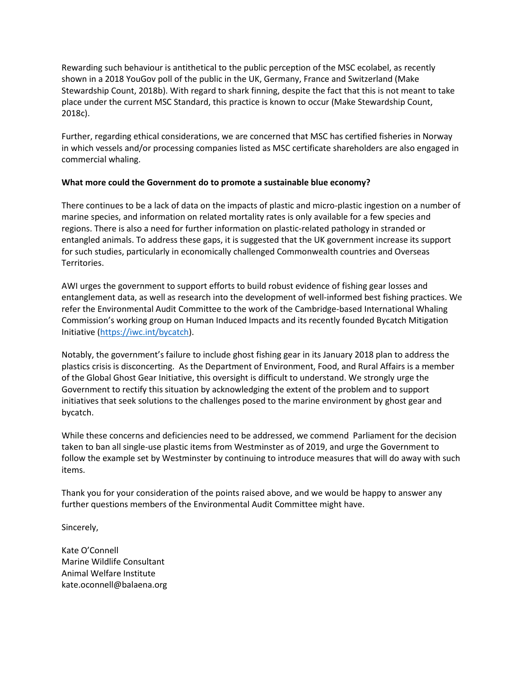Rewarding such behaviour is antithetical to the public perception of the MSC ecolabel, as recently shown in a 2018 YouGov poll of the public in the UK, Germany, France and Switzerland (Make Stewardship Count, 2018b). With regard to shark finning, despite the fact that this is not meant to take place under the current MSC Standard, this practice is known to occur (Make Stewardship Count, 2018c).

Further, regarding ethical considerations, we are concerned that MSC has certified fisheries in Norway in which vessels and/or processing companies listed as MSC certificate shareholders are also engaged in commercial whaling.

# **What more could the Government do to promote a sustainable blue economy?**

There continues to be a lack of data on the impacts of plastic and micro-plastic ingestion on a number of marine species, and information on related mortality rates is only available for a few species and regions. There is also a need for further information on plastic-related pathology in stranded or entangled animals. To address these gaps, it is suggested that the UK government increase its support for such studies, particularly in economically challenged Commonwealth countries and Overseas Territories.

AWI urges the government to support efforts to build robust evidence of fishing gear losses and entanglement data, as well as research into the development of well-informed best fishing practices. We refer the Environmental Audit Committee to the work of the Cambridge-based International Whaling Commission's working group on Human Induced Impacts and its recently founded Bycatch Mitigation Initiative [\(https://iwc.int/bycatch\)](https://iwc.int/bycatch).

Notably, the government's failure to include ghost fishing gear in its January 2018 plan to address the plastics crisis is disconcerting. As the Department of Environment, Food, and Rural Affairs is a member of the Global Ghost Gear Initiative, this oversight is difficult to understand. We strongly urge the Government to rectify this situation by acknowledging the extent of the problem and to support initiatives that seek solutions to the challenges posed to the marine environment by ghost gear and bycatch.

While these concerns and deficiencies need to be addressed, we commend Parliament for the decision taken to ban all single-use plastic items from Westminster as of 2019, and urge the Government to follow the example set by Westminster by continuing to introduce measures that will do away with such items.

Thank you for your consideration of the points raised above, and we would be happy to answer any further questions members of the Environmental Audit Committee might have.

Sincerely,

Kate O'Connell Marine Wildlife Consultant Animal Welfare Institute kate.oconnell@balaena.org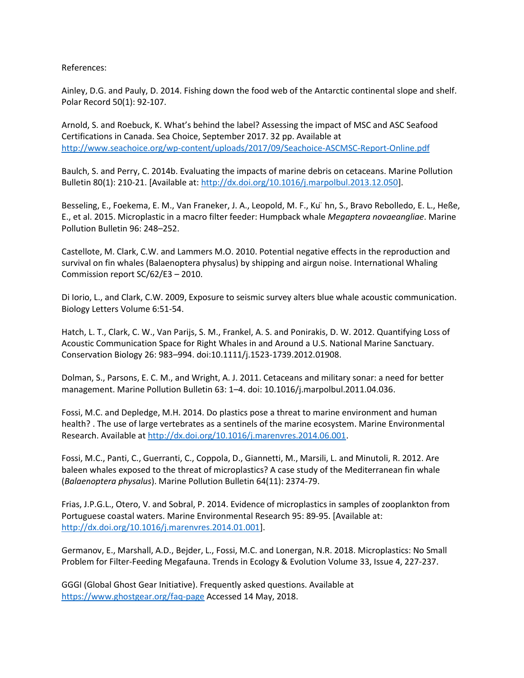References:

Ainley, D.G. and Pauly, D. 2014. Fishing down the food web of the Antarctic continental slope and shelf. Polar Record 50(1): 92-107.

Arnold, S. and Roebuck, K. What's behind the label? Assessing the impact of MSC and ASC Seafood Certifications in Canada. Sea Choice, September 2017. 32 pp. Available at <http://www.seachoice.org/wp-content/uploads/2017/09/Seachoice-ASCMSC-Report-Online.pdf>

Baulch, S. and Perry, C. 2014b. Evaluating the impacts of marine debris on cetaceans. Marine Pollution Bulletin 80(1): 210-21. [Available at: [http://dx.doi.org/10.1016/j.marpolbul.2013.12.050\]](http://dx.doi.org/10.1016/j.marpolbul.2013.12.050).

Besseling, E., Foekema, E. M., Van Franeker, J. A., Leopold, M. F., Ku ̈hn, S., Bravo Rebolledo, E. L., Heße, E., et al. 2015. Microplastic in a macro filter feeder: Humpback whale *Megaptera novaeangliae*. Marine Pollution Bulletin 96: 248–252.

Castellote, M. Clark, C.W. and Lammers M.O. 2010. Potential negative effects in the reproduction and survival on fin whales (Balaenoptera physalus) by shipping and airgun noise. International Whaling Commission report SC/62/E3 – 2010.

Di Iorio, L., and Clark, C.W. 2009, Exposure to seismic survey alters blue whale acoustic communication. Biology Letters Volume 6:51-54.

Hatch, L. T., Clark, C. W., Van Parijs, S. M., Frankel, A. S. and Ponirakis, D. W. 2012. Quantifying Loss of Acoustic Communication Space for Right Whales in and Around a U.S. National Marine Sanctuary. Conservation Biology 26: 983–994. doi:10.1111/j.1523-1739.2012.01908.

Dolman, S., Parsons, E. C. M., and Wright, A. J. 2011. Cetaceans and military sonar: a need for better management. Marine Pollution Bulletin 63: 1–4. doi: 10.1016/j.marpolbul.2011.04.036.

Fossi, M.C. and Depledge, M.H. 2014. Do plastics pose a threat to marine environment and human health? . The use of large vertebrates as a sentinels of the marine ecosystem. Marine Environmental Research. Available a[t http://dx.doi.org/10.1016/j.marenvres.2014.06.001.](http://dx.doi.org/10.1016/j.marenvres.2014.06.001)

Fossi, M.C., Panti, C., Guerranti, C., Coppola, D., Giannetti, M., Marsili, L. and Minutoli, R. 2012. Are baleen whales exposed to the threat of microplastics? A case study of the Mediterranean fin whale (*Balaenoptera physalus*). Marine Pollution Bulletin 64(11): 2374-79.

Frias, J.P.G.L., Otero, V. and Sobral, P. 2014. Evidence of microplastics in samples of zooplankton from Portuguese coastal waters. Marine Environmental Research 95: 89-95. [Available at: [http://dx.doi.org/10.1016/j.marenvres.2014.01.001\]](http://dx.doi.org/10.1016/j.marenvres.2014.01.001).

Germanov, E., Marshall, A.D., Bejder, L., Fossi, M.C. and Lonergan, N.R. 2018. Microplastics: No Small Problem for Filter-Feeding Megafauna. Trends in Ecology & Evolution Volume 33, Issue 4, 227-237.

GGGI (Global Ghost Gear Initiative). Frequently asked questions. Available at <https://www.ghostgear.org/faq-page> Accessed 14 May, 2018.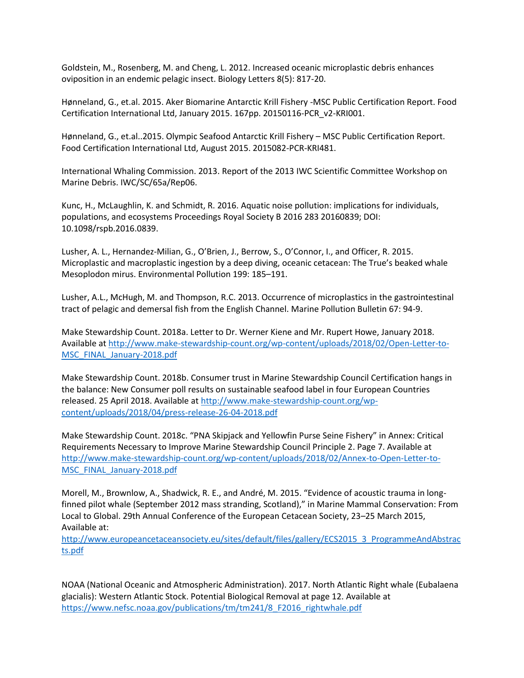Goldstein, M., Rosenberg, M. and Cheng, L. 2012. Increased oceanic microplastic debris enhances oviposition in an endemic pelagic insect. Biology Letters 8(5): 817-20.

Hønneland, G., et.al. 2015. Aker Biomarine Antarctic Krill Fishery -MSC Public Certification Report. Food Certification International Ltd, January 2015. 167pp. 20150116-PCR\_v2-KRI001.

Hønneland, G., et.al..2015. Olympic Seafood Antarctic Krill Fishery – MSC Public Certification Report. Food Certification International Ltd, August 2015. 2015082-PCR-KRI481.

International Whaling Commission. 2013. Report of the 2013 IWC Scientific Committee Workshop on Marine Debris. IWC/SC/65a/Rep06.

Kunc, H., McLaughlin, K. and Schmidt, R. 2016. Aquatic noise pollution: implications for individuals, populations, and ecosystems Proceedings Royal Society B 2016 283 20160839; DOI: 10.1098/rspb.2016.0839.

Lusher, A. L., Hernandez-Milian, G., O'Brien, J., Berrow, S., O'Connor, I., and Officer, R. 2015. Microplastic and macroplastic ingestion by a deep diving, oceanic cetacean: The True's beaked whale Mesoplodon mirus. Environmental Pollution 199: 185–191.

Lusher, A.L., McHugh, M. and Thompson, R.C. 2013. Occurrence of microplastics in the gastrointestinal tract of pelagic and demersal fish from the English Channel. Marine Pollution Bulletin 67: 94-9.

Make Stewardship Count. 2018a. Letter to Dr. Werner Kiene and Mr. Rupert Howe, January 2018. Available a[t http://www.make-stewardship-count.org/wp-content/uploads/2018/02/Open-Letter-to-](http://www.make-stewardship-count.org/wp-content/uploads/2018/02/Open-Letter-to-MSC_FINAL_January-2018.pdf)[MSC\\_FINAL\\_January-2018.pdf](http://www.make-stewardship-count.org/wp-content/uploads/2018/02/Open-Letter-to-MSC_FINAL_January-2018.pdf)

Make Stewardship Count. 2018b. Consumer trust in Marine Stewardship Council Certification hangs in the balance: New Consumer poll results on sustainable seafood label in four European Countries released. 25 April 2018. Available a[t http://www.make-stewardship-count.org/wp](http://www.make-stewardship-count.org/wp-content/uploads/2018/04/press-release-26-04-2018.pdf)[content/uploads/2018/04/press-release-26-04-2018.pdf](http://www.make-stewardship-count.org/wp-content/uploads/2018/04/press-release-26-04-2018.pdf)

Make Stewardship Count. 2018c. "PNA Skipjack and Yellowfin Purse Seine Fishery" in Annex: Critical Requirements Necessary to Improve Marine Stewardship Council Principle 2. Page 7. Available at [http://www.make-stewardship-count.org/wp-content/uploads/2018/02/Annex-to-Open-Letter-to-](http://www.make-stewardship-count.org/wp-content/uploads/2018/02/Annex-to-Open-Letter-to-MSC_FINAL_January-2018.pdf)[MSC\\_FINAL\\_January-2018.pdf](http://www.make-stewardship-count.org/wp-content/uploads/2018/02/Annex-to-Open-Letter-to-MSC_FINAL_January-2018.pdf)

Morell, M., Brownlow, A., Shadwick, R. E., and André, M. 2015. "Evidence of acoustic trauma in longfinned pilot whale (September 2012 mass stranding, Scotland)," in Marine Mammal Conservation: From Local to Global. 29th Annual Conference of the European Cetacean Society, 23–25 March 2015, Available at:

[http://www.europeancetaceansociety.eu/sites/default/files/gallery/ECS2015\\_3\\_ProgrammeAndAbstrac](http://www.europeancetaceansociety.eu/sites/default/files/gallery/ECS2015_3_ProgrammeAndAbstracts.pdf) [ts.pdf](http://www.europeancetaceansociety.eu/sites/default/files/gallery/ECS2015_3_ProgrammeAndAbstracts.pdf)

NOAA (National Oceanic and Atmospheric Administration). 2017. North Atlantic Right whale (Eubalaena glacialis): Western Atlantic Stock. Potential Biological Removal at page 12. Available at [https://www.nefsc.noaa.gov/publications/tm/tm241/8\\_F2016\\_rightwhale.pdf](https://www.nefsc.noaa.gov/publications/tm/tm241/8_F2016_rightwhale.pdf)